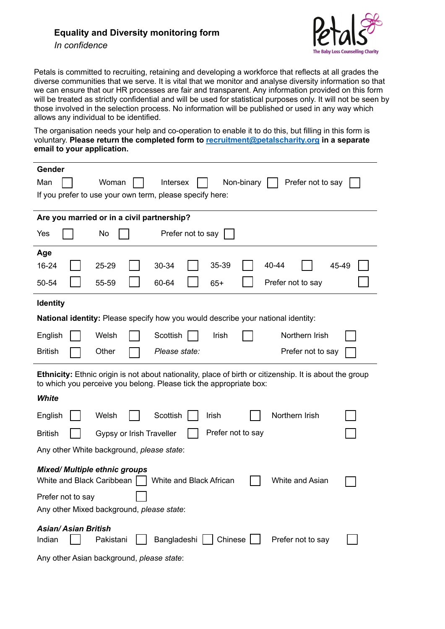## **Equality and Diversity monitoring form**

*In confidence* 



Petals is committed to recruiting, retaining and developing a workforce that reflects at all grades the diverse communities that we serve. It is vital that we monitor and analyse diversity information so that we can ensure that our HR processes are fair and transparent. Any information provided on this form will be treated as strictly confidential and will be used for statistical purposes only. It will not be seen by those involved in the selection process. No information will be published or used in any way which allows any individual to be identified.

The organisation needs your help and co-operation to enable it to do this, but filling in this form is voluntary. **Please return the completed form to recruitment@petalscharity.org in a separate email to your application.**

| Gender                                                                                                                                                                               |       |
|--------------------------------------------------------------------------------------------------------------------------------------------------------------------------------------|-------|
| Man<br>Woman<br>Intersex<br>Non-binary<br>Prefer not to say                                                                                                                          |       |
| If you prefer to use your own term, please specify here:                                                                                                                             |       |
|                                                                                                                                                                                      |       |
| Are you married or in a civil partnership?                                                                                                                                           |       |
| Prefer not to say<br>Yes<br>No                                                                                                                                                       |       |
| Age                                                                                                                                                                                  |       |
| 16-24<br>35-39<br>40-44<br>25-29<br>30-34                                                                                                                                            | 45-49 |
| 50-54<br>55-59<br>60-64<br>$65+$<br>Prefer not to say                                                                                                                                |       |
| <b>Identity</b>                                                                                                                                                                      |       |
| <b>National identity:</b> Please specify how you would describe your national identity:                                                                                              |       |
| Scottish<br>Northern Irish<br>English<br>Welsh<br>Irish                                                                                                                              |       |
| Other<br><b>British</b><br>Please state:                                                                                                                                             |       |
| Prefer not to say                                                                                                                                                                    |       |
| <b>Ethnicity:</b> Ethnic origin is not about nationality, place of birth or citizenship. It is about the group<br>to which you perceive you belong. Please tick the appropriate box: |       |
| <b>White</b>                                                                                                                                                                         |       |
| Northern Irish<br>Scottish<br>English<br>Welsh<br>Irish                                                                                                                              |       |
| Prefer not to say<br><b>British</b><br>Gypsy or Irish Traveller                                                                                                                      |       |
| Any other White background, please state:                                                                                                                                            |       |
| <b>Mixed/ Multiple ethnic groups</b><br>White and Black Caribbean<br>White and Black African<br>White and Asian                                                                      |       |
| Prefer not to say                                                                                                                                                                    |       |
| Any other Mixed background, please state:                                                                                                                                            |       |
| <b>Asian/Asian British</b>                                                                                                                                                           |       |
| Bangladeshi   Chinese  <br>Indian<br>Prefer not to say<br>Pakistani                                                                                                                  |       |
| Any other Asian background, please state:                                                                                                                                            |       |